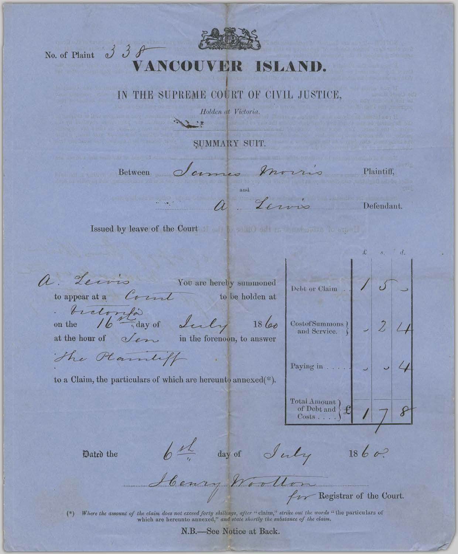No. of Plaint  $338$ 

## VANC ISLAND.

## IN THE SUPREME COURT OF CIVIL JUSTICE,

Holden at Victoria.

SUMMARY SUIT.

Between dames mo a Lewis

não

Plaintiff,

Defendant.

 $\mathbf{x}$  $d.$ 

 $\dot{E}$ 

Issued by leave of the Court of the solution of the second state

 $\Lambda$ Jerris **Example 18 You are hereby summoned** Debt or Claim to appear at a Count to be holden at tratorità Costof Summons  $\Big\}$   $\Big\}$   $\Big\}$   $\Big\}$   $\Big\}$  $1860$ on the at the hour of *Jen* in the forenoon, to answer The Plannliff Paying in . . . . to a Claim, the particulars of which are hereunto annexed(\*).  $\left.\begin{array}{l} \text {Total Amount} \\ \text { of Debt and} \end{array}\right\} \mathbf{\mathcal{L}}$ 8 Costs.... 6th day of July 1860? Dated the Henry Wootlon

(\*) Where the amount of the claim does not exceed forty shillings, after "claim," strike out the words "the particulars of which are hereunto annexed," and state shortly the substance of the claim.

N.B.-See Notice at Back.